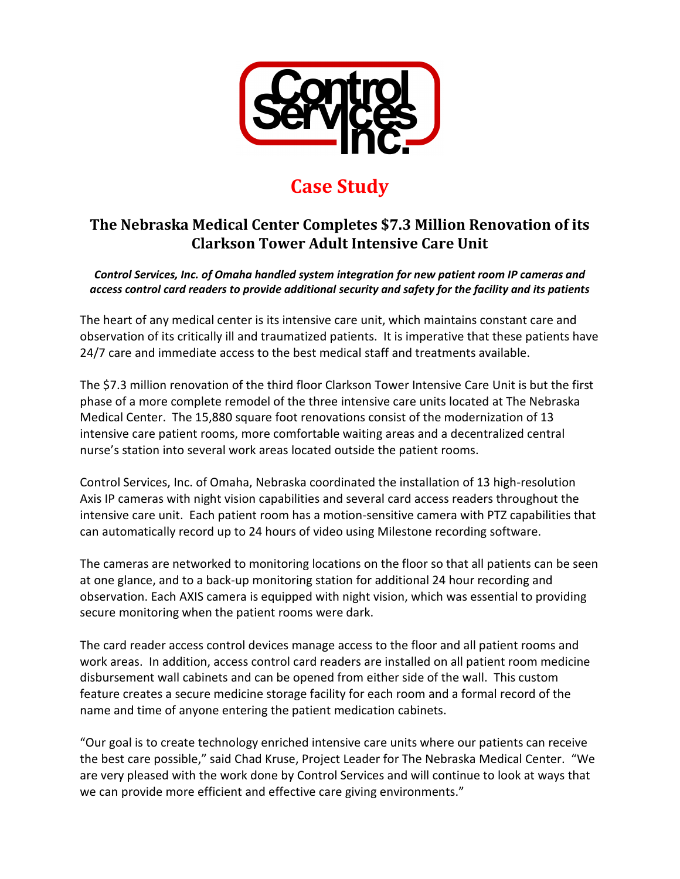

## **Case Study**

## **The Nebraska Medical Center Completes \$7.3 Million Renovation of its Clarkson Tower Adult Intensive Care Unit**

*Control Services, Inc. of Omaha handled system integration for new patient room IP cameras and access control card readers to provide additional security and safety for the facility and its patients*

The heart of any medical center is its intensive care unit, which maintains constant care and observation of its critically ill and traumatized patients. It is imperative that these patients have 24/7 care and immediate access to the best medical staff and treatments available.

The \$7.3 million renovation of the third floor Clarkson Tower Intensive Care Unit is but the first phase of a more complete remodel of the three intensive care units located at The Nebraska Medical Center. The 15,880 square foot renovations consist of the modernization of 13 intensive care patient rooms, more comfortable waiting areas and a decentralized central nurse's station into several work areas located outside the patient rooms.

Control Services, Inc. of Omaha, Nebraska coordinated the installation of 13 high-resolution Axis IP cameras with night vision capabilities and several card access readers throughout the intensive care unit. Each patient room has a motion-sensitive camera with PTZ capabilities that can automatically record up to 24 hours of video using Milestone recording software.

The cameras are networked to monitoring locations on the floor so that all patients can be seen at one glance, and to a back-up monitoring station for additional 24 hour recording and observation. Each AXIS camera is equipped with night vision, which was essential to providing secure monitoring when the patient rooms were dark.

The card reader access control devices manage access to the floor and all patient rooms and work areas. In addition, access control card readers are installed on all patient room medicine disbursement wall cabinets and can be opened from either side of the wall. This custom feature creates a secure medicine storage facility for each room and a formal record of the name and time of anyone entering the patient medication cabinets.

"Our goal is to create technology enriched intensive care units where our patients can receive the best care possible," said Chad Kruse, Project Leader for The Nebraska Medical Center. "We are very pleased with the work done by Control Services and will continue to look at ways that we can provide more efficient and effective care giving environments."